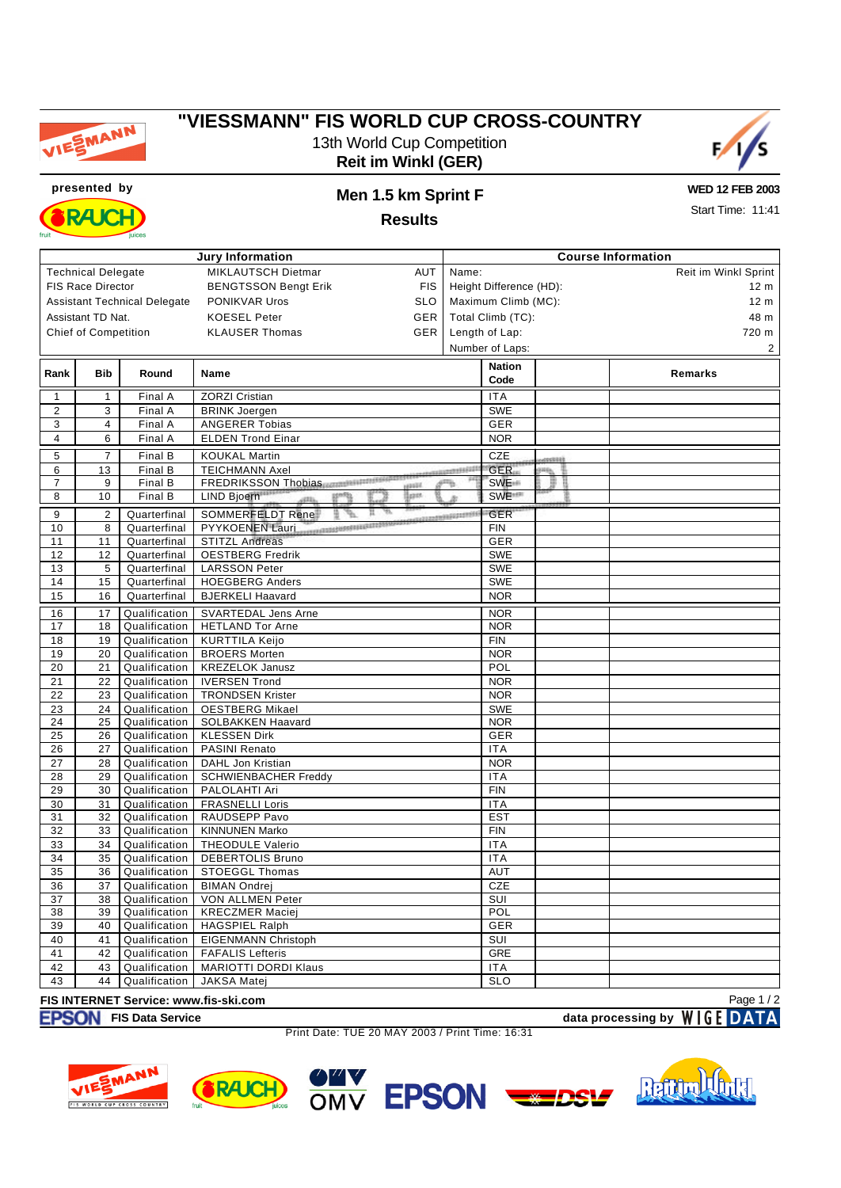

## **"VIESSMANN" FIS WORLD CUP CROSS-COUNTRY** 13th World Cup Competition **Reit im Winkl (GER)**





## **presented by Men 1.5 km Sprint F**

**WED 12 FEB 2003**

**Results**

Start Time: 11:41

| MIKLAUTSCH Dietmar<br><b>Technical Delegate</b><br>AUT<br>Reit im Winkl Sprint<br>Name:<br>FIS Race Director<br><b>BENGTSSON Bengt Erik</b><br><b>FIS</b><br>Height Difference (HD):<br>12 <sub>m</sub><br><b>SLO</b><br>Maximum Climb (MC):<br><b>Assistant Technical Delegate</b><br>PONIKVAR Uros<br>12 <sub>m</sub><br>GER<br>Total Climb (TC):<br>Assistant TD Nat.<br><b>KOESEL Peter</b><br>48 m<br><b>Chief of Competition</b><br><b>GER</b><br>Length of Lap:<br>720 m<br><b>KLAUSER Thomas</b><br>Number of Laps:<br>$\overline{c}$<br><b>Nation</b><br>Bib<br>Round<br>Remarks<br>Rank<br>Name<br>Code<br><b>ZORZI Cristian</b><br><b>ITA</b><br>$\mathbf{1}$<br>$\mathbf{1}$<br>Final A<br><b>SWE</b><br>$\overline{2}$<br>3<br>Final A<br><b>BRINK Joergen</b><br>3<br>$\overline{4}$<br>Final A<br><b>ANGERER Tobias</b><br><b>GER</b><br>6<br>$\overline{4}$<br>Final A<br><b>ELDEN Trond Einar</b><br><b>NOR</b><br>CZE<br>5<br>$\overline{7}$<br>Final B<br><b>KOUKAL Martin</b><br>cessos\$<br><b>TEICHMANN Axel</b><br><b>GER</b><br>6<br>13<br>Final B<br><b>CONSUMERSIVE</b><br>m<br>FREDRIKSSON Thobias<br>$\overline{7}$<br>9<br>FinalB<br>SWE <sup>#</sup><br>₽<br><b>HEEE</b><br>lan<br>SWE <sup>11</sup><br>10<br>Final B<br>8<br>LIND Bjoern<br>atti.<br><b>GER</b><br>SOMMERFELDT Rene<br>9<br>$\overline{\mathbf{c}}$<br>Quarterfinal<br>NAMES OF TAXABLE PARTIES.<br>PYYKOENEN Lauri<br>8<br><b>FIN</b><br>10<br>Quarterfinal<br><b>GER</b><br>11<br>11<br>Quarterfinal<br><b>STITZL Andreas</b><br>12<br>Quarterfinal<br><b>OESTBERG Fredrik</b><br><b>SWE</b><br>12<br>5<br><b>SWE</b><br>13<br>Quarterfinal<br><b>LARSSON Peter</b><br><b>SWE</b><br>14<br>15<br>Quarterfinal<br><b>HOEGBERG Anders</b><br>16<br><b>BJERKELI Haavard</b><br><b>NOR</b><br>15<br>Quarterfinal<br>17<br>Qualification<br><b>SVARTEDAL Jens Arne</b><br><b>NOR</b><br>16<br>18<br>Qualification<br><b>HETLAND Tor Arne</b><br><b>NOR</b><br>17<br>18<br>19<br>Qualification<br><b>FIN</b><br><b>KURTTILA Keijo</b><br>19<br>Qualification<br><b>BROERS Morten</b><br><b>NOR</b><br>20<br>POL<br>20<br>21<br>Qualification<br><b>KREZELOK Janusz</b><br>Qualification<br><b>IVERSEN Trond</b><br>21<br>22<br><b>NOR</b><br><b>TRONDSEN Krister</b><br>22<br>23<br>Qualification<br><b>NOR</b><br>Qualification<br><b>OESTBERG Mikael</b><br><b>SWE</b><br>23<br>24<br>Qualification<br>SOLBAKKEN Haavard<br><b>NOR</b><br>24<br>25<br><b>KLESSEN Dirk</b><br>GER<br>25<br>Qualification<br>26<br>Qualification<br>PASINI Renato<br>26<br>27<br><b>ITA</b><br>27<br>28<br>Qualification<br>DAHL Jon Kristian<br><b>NOR</b><br>Qualification<br><b>ITA</b><br>28<br>29<br><b>SCHWIENBACHER Freddy</b><br><b>FIN</b><br>29<br>30<br>Qualification<br>PALOLAHTI Ari<br>Qualification<br><b>FRASNELLI Loris</b><br>30<br>31<br><b>ITA</b><br>31<br>32<br>Qualification<br>RAUDSEPP Pavo<br><b>EST</b><br>32<br>33<br>Qualification<br><b>KINNUNEN Marko</b><br><b>FIN</b><br><b>ITA</b><br>33<br>34<br>Qualification<br><b>THEODULE Valerio</b><br>34<br>35<br><b>DEBERTOLIS Bruno</b><br><b>ITA</b><br>Qualification<br>AUT<br>35<br>36<br>Qualification<br><b>STOEGGL Thomas</b><br>36<br>37<br>Qualification<br><b>BIMAN Ondrej</b><br>CZE<br>37<br>38<br>Qualification<br>VON ALLMEN Peter<br>SUI<br>39<br>Qualification<br><b>KRECZMER Maciej</b><br>POL<br>38<br>40<br>Qualification<br><b>HAGSPIEL Ralph</b><br>GER<br>39<br>SUI<br>40<br>Qualification<br><b>EIGENMANN Christoph</b><br>41<br>42<br>GRE<br>41<br>Qualification<br><b>FAFALIS Lefteris</b><br><b>MARIOTTI DORDI Klaus</b><br>42<br>43<br>Qualification<br><b>ITA</b><br>SLO<br>43<br>44<br>Qualification<br><b>JAKSA Matej</b><br>Page 1/2<br>FIS INTERNET Service: www.fis-ski.com | <b>Jury Information</b> |  |  |  | <b>Course Information</b> |  |  |  |  |  |  |
|--------------------------------------------------------------------------------------------------------------------------------------------------------------------------------------------------------------------------------------------------------------------------------------------------------------------------------------------------------------------------------------------------------------------------------------------------------------------------------------------------------------------------------------------------------------------------------------------------------------------------------------------------------------------------------------------------------------------------------------------------------------------------------------------------------------------------------------------------------------------------------------------------------------------------------------------------------------------------------------------------------------------------------------------------------------------------------------------------------------------------------------------------------------------------------------------------------------------------------------------------------------------------------------------------------------------------------------------------------------------------------------------------------------------------------------------------------------------------------------------------------------------------------------------------------------------------------------------------------------------------------------------------------------------------------------------------------------------------------------------------------------------------------------------------------------------------------------------------------------------------------------------------------------------------------------------------------------------------------------------------------------------------------------------------------------------------------------------------------------------------------------------------------------------------------------------------------------------------------------------------------------------------------------------------------------------------------------------------------------------------------------------------------------------------------------------------------------------------------------------------------------------------------------------------------------------------------------------------------------------------------------------------------------------------------------------------------------------------------------------------------------------------------------------------------------------------------------------------------------------------------------------------------------------------------------------------------------------------------------------------------------------------------------------------------------------------------------------------------------------------------------------------------------------------------------------------------------------------------------------------------------------------------------------------------------------------------------------------------------------------------------------------------------------------------------------------------------------------------------------------------------------------------------------------------------------------------------------------------------------------------------------------------------------------------------------------------------------------------------------------------------------|-------------------------|--|--|--|---------------------------|--|--|--|--|--|--|
|                                                                                                                                                                                                                                                                                                                                                                                                                                                                                                                                                                                                                                                                                                                                                                                                                                                                                                                                                                                                                                                                                                                                                                                                                                                                                                                                                                                                                                                                                                                                                                                                                                                                                                                                                                                                                                                                                                                                                                                                                                                                                                                                                                                                                                                                                                                                                                                                                                                                                                                                                                                                                                                                                                                                                                                                                                                                                                                                                                                                                                                                                                                                                                                                                                                                                                                                                                                                                                                                                                                                                                                                                                                                                                                                                                    |                         |  |  |  |                           |  |  |  |  |  |  |
|                                                                                                                                                                                                                                                                                                                                                                                                                                                                                                                                                                                                                                                                                                                                                                                                                                                                                                                                                                                                                                                                                                                                                                                                                                                                                                                                                                                                                                                                                                                                                                                                                                                                                                                                                                                                                                                                                                                                                                                                                                                                                                                                                                                                                                                                                                                                                                                                                                                                                                                                                                                                                                                                                                                                                                                                                                                                                                                                                                                                                                                                                                                                                                                                                                                                                                                                                                                                                                                                                                                                                                                                                                                                                                                                                                    |                         |  |  |  |                           |  |  |  |  |  |  |
|                                                                                                                                                                                                                                                                                                                                                                                                                                                                                                                                                                                                                                                                                                                                                                                                                                                                                                                                                                                                                                                                                                                                                                                                                                                                                                                                                                                                                                                                                                                                                                                                                                                                                                                                                                                                                                                                                                                                                                                                                                                                                                                                                                                                                                                                                                                                                                                                                                                                                                                                                                                                                                                                                                                                                                                                                                                                                                                                                                                                                                                                                                                                                                                                                                                                                                                                                                                                                                                                                                                                                                                                                                                                                                                                                                    |                         |  |  |  |                           |  |  |  |  |  |  |
|                                                                                                                                                                                                                                                                                                                                                                                                                                                                                                                                                                                                                                                                                                                                                                                                                                                                                                                                                                                                                                                                                                                                                                                                                                                                                                                                                                                                                                                                                                                                                                                                                                                                                                                                                                                                                                                                                                                                                                                                                                                                                                                                                                                                                                                                                                                                                                                                                                                                                                                                                                                                                                                                                                                                                                                                                                                                                                                                                                                                                                                                                                                                                                                                                                                                                                                                                                                                                                                                                                                                                                                                                                                                                                                                                                    |                         |  |  |  |                           |  |  |  |  |  |  |
|                                                                                                                                                                                                                                                                                                                                                                                                                                                                                                                                                                                                                                                                                                                                                                                                                                                                                                                                                                                                                                                                                                                                                                                                                                                                                                                                                                                                                                                                                                                                                                                                                                                                                                                                                                                                                                                                                                                                                                                                                                                                                                                                                                                                                                                                                                                                                                                                                                                                                                                                                                                                                                                                                                                                                                                                                                                                                                                                                                                                                                                                                                                                                                                                                                                                                                                                                                                                                                                                                                                                                                                                                                                                                                                                                                    |                         |  |  |  |                           |  |  |  |  |  |  |
|                                                                                                                                                                                                                                                                                                                                                                                                                                                                                                                                                                                                                                                                                                                                                                                                                                                                                                                                                                                                                                                                                                                                                                                                                                                                                                                                                                                                                                                                                                                                                                                                                                                                                                                                                                                                                                                                                                                                                                                                                                                                                                                                                                                                                                                                                                                                                                                                                                                                                                                                                                                                                                                                                                                                                                                                                                                                                                                                                                                                                                                                                                                                                                                                                                                                                                                                                                                                                                                                                                                                                                                                                                                                                                                                                                    |                         |  |  |  |                           |  |  |  |  |  |  |
|                                                                                                                                                                                                                                                                                                                                                                                                                                                                                                                                                                                                                                                                                                                                                                                                                                                                                                                                                                                                                                                                                                                                                                                                                                                                                                                                                                                                                                                                                                                                                                                                                                                                                                                                                                                                                                                                                                                                                                                                                                                                                                                                                                                                                                                                                                                                                                                                                                                                                                                                                                                                                                                                                                                                                                                                                                                                                                                                                                                                                                                                                                                                                                                                                                                                                                                                                                                                                                                                                                                                                                                                                                                                                                                                                                    |                         |  |  |  |                           |  |  |  |  |  |  |
|                                                                                                                                                                                                                                                                                                                                                                                                                                                                                                                                                                                                                                                                                                                                                                                                                                                                                                                                                                                                                                                                                                                                                                                                                                                                                                                                                                                                                                                                                                                                                                                                                                                                                                                                                                                                                                                                                                                                                                                                                                                                                                                                                                                                                                                                                                                                                                                                                                                                                                                                                                                                                                                                                                                                                                                                                                                                                                                                                                                                                                                                                                                                                                                                                                                                                                                                                                                                                                                                                                                                                                                                                                                                                                                                                                    |                         |  |  |  |                           |  |  |  |  |  |  |
|                                                                                                                                                                                                                                                                                                                                                                                                                                                                                                                                                                                                                                                                                                                                                                                                                                                                                                                                                                                                                                                                                                                                                                                                                                                                                                                                                                                                                                                                                                                                                                                                                                                                                                                                                                                                                                                                                                                                                                                                                                                                                                                                                                                                                                                                                                                                                                                                                                                                                                                                                                                                                                                                                                                                                                                                                                                                                                                                                                                                                                                                                                                                                                                                                                                                                                                                                                                                                                                                                                                                                                                                                                                                                                                                                                    |                         |  |  |  |                           |  |  |  |  |  |  |
|                                                                                                                                                                                                                                                                                                                                                                                                                                                                                                                                                                                                                                                                                                                                                                                                                                                                                                                                                                                                                                                                                                                                                                                                                                                                                                                                                                                                                                                                                                                                                                                                                                                                                                                                                                                                                                                                                                                                                                                                                                                                                                                                                                                                                                                                                                                                                                                                                                                                                                                                                                                                                                                                                                                                                                                                                                                                                                                                                                                                                                                                                                                                                                                                                                                                                                                                                                                                                                                                                                                                                                                                                                                                                                                                                                    |                         |  |  |  |                           |  |  |  |  |  |  |
|                                                                                                                                                                                                                                                                                                                                                                                                                                                                                                                                                                                                                                                                                                                                                                                                                                                                                                                                                                                                                                                                                                                                                                                                                                                                                                                                                                                                                                                                                                                                                                                                                                                                                                                                                                                                                                                                                                                                                                                                                                                                                                                                                                                                                                                                                                                                                                                                                                                                                                                                                                                                                                                                                                                                                                                                                                                                                                                                                                                                                                                                                                                                                                                                                                                                                                                                                                                                                                                                                                                                                                                                                                                                                                                                                                    |                         |  |  |  |                           |  |  |  |  |  |  |
|                                                                                                                                                                                                                                                                                                                                                                                                                                                                                                                                                                                                                                                                                                                                                                                                                                                                                                                                                                                                                                                                                                                                                                                                                                                                                                                                                                                                                                                                                                                                                                                                                                                                                                                                                                                                                                                                                                                                                                                                                                                                                                                                                                                                                                                                                                                                                                                                                                                                                                                                                                                                                                                                                                                                                                                                                                                                                                                                                                                                                                                                                                                                                                                                                                                                                                                                                                                                                                                                                                                                                                                                                                                                                                                                                                    |                         |  |  |  |                           |  |  |  |  |  |  |
|                                                                                                                                                                                                                                                                                                                                                                                                                                                                                                                                                                                                                                                                                                                                                                                                                                                                                                                                                                                                                                                                                                                                                                                                                                                                                                                                                                                                                                                                                                                                                                                                                                                                                                                                                                                                                                                                                                                                                                                                                                                                                                                                                                                                                                                                                                                                                                                                                                                                                                                                                                                                                                                                                                                                                                                                                                                                                                                                                                                                                                                                                                                                                                                                                                                                                                                                                                                                                                                                                                                                                                                                                                                                                                                                                                    |                         |  |  |  |                           |  |  |  |  |  |  |
|                                                                                                                                                                                                                                                                                                                                                                                                                                                                                                                                                                                                                                                                                                                                                                                                                                                                                                                                                                                                                                                                                                                                                                                                                                                                                                                                                                                                                                                                                                                                                                                                                                                                                                                                                                                                                                                                                                                                                                                                                                                                                                                                                                                                                                                                                                                                                                                                                                                                                                                                                                                                                                                                                                                                                                                                                                                                                                                                                                                                                                                                                                                                                                                                                                                                                                                                                                                                                                                                                                                                                                                                                                                                                                                                                                    |                         |  |  |  |                           |  |  |  |  |  |  |
|                                                                                                                                                                                                                                                                                                                                                                                                                                                                                                                                                                                                                                                                                                                                                                                                                                                                                                                                                                                                                                                                                                                                                                                                                                                                                                                                                                                                                                                                                                                                                                                                                                                                                                                                                                                                                                                                                                                                                                                                                                                                                                                                                                                                                                                                                                                                                                                                                                                                                                                                                                                                                                                                                                                                                                                                                                                                                                                                                                                                                                                                                                                                                                                                                                                                                                                                                                                                                                                                                                                                                                                                                                                                                                                                                                    |                         |  |  |  |                           |  |  |  |  |  |  |
|                                                                                                                                                                                                                                                                                                                                                                                                                                                                                                                                                                                                                                                                                                                                                                                                                                                                                                                                                                                                                                                                                                                                                                                                                                                                                                                                                                                                                                                                                                                                                                                                                                                                                                                                                                                                                                                                                                                                                                                                                                                                                                                                                                                                                                                                                                                                                                                                                                                                                                                                                                                                                                                                                                                                                                                                                                                                                                                                                                                                                                                                                                                                                                                                                                                                                                                                                                                                                                                                                                                                                                                                                                                                                                                                                                    |                         |  |  |  |                           |  |  |  |  |  |  |
|                                                                                                                                                                                                                                                                                                                                                                                                                                                                                                                                                                                                                                                                                                                                                                                                                                                                                                                                                                                                                                                                                                                                                                                                                                                                                                                                                                                                                                                                                                                                                                                                                                                                                                                                                                                                                                                                                                                                                                                                                                                                                                                                                                                                                                                                                                                                                                                                                                                                                                                                                                                                                                                                                                                                                                                                                                                                                                                                                                                                                                                                                                                                                                                                                                                                                                                                                                                                                                                                                                                                                                                                                                                                                                                                                                    |                         |  |  |  |                           |  |  |  |  |  |  |
|                                                                                                                                                                                                                                                                                                                                                                                                                                                                                                                                                                                                                                                                                                                                                                                                                                                                                                                                                                                                                                                                                                                                                                                                                                                                                                                                                                                                                                                                                                                                                                                                                                                                                                                                                                                                                                                                                                                                                                                                                                                                                                                                                                                                                                                                                                                                                                                                                                                                                                                                                                                                                                                                                                                                                                                                                                                                                                                                                                                                                                                                                                                                                                                                                                                                                                                                                                                                                                                                                                                                                                                                                                                                                                                                                                    |                         |  |  |  |                           |  |  |  |  |  |  |
|                                                                                                                                                                                                                                                                                                                                                                                                                                                                                                                                                                                                                                                                                                                                                                                                                                                                                                                                                                                                                                                                                                                                                                                                                                                                                                                                                                                                                                                                                                                                                                                                                                                                                                                                                                                                                                                                                                                                                                                                                                                                                                                                                                                                                                                                                                                                                                                                                                                                                                                                                                                                                                                                                                                                                                                                                                                                                                                                                                                                                                                                                                                                                                                                                                                                                                                                                                                                                                                                                                                                                                                                                                                                                                                                                                    |                         |  |  |  |                           |  |  |  |  |  |  |
|                                                                                                                                                                                                                                                                                                                                                                                                                                                                                                                                                                                                                                                                                                                                                                                                                                                                                                                                                                                                                                                                                                                                                                                                                                                                                                                                                                                                                                                                                                                                                                                                                                                                                                                                                                                                                                                                                                                                                                                                                                                                                                                                                                                                                                                                                                                                                                                                                                                                                                                                                                                                                                                                                                                                                                                                                                                                                                                                                                                                                                                                                                                                                                                                                                                                                                                                                                                                                                                                                                                                                                                                                                                                                                                                                                    |                         |  |  |  |                           |  |  |  |  |  |  |
|                                                                                                                                                                                                                                                                                                                                                                                                                                                                                                                                                                                                                                                                                                                                                                                                                                                                                                                                                                                                                                                                                                                                                                                                                                                                                                                                                                                                                                                                                                                                                                                                                                                                                                                                                                                                                                                                                                                                                                                                                                                                                                                                                                                                                                                                                                                                                                                                                                                                                                                                                                                                                                                                                                                                                                                                                                                                                                                                                                                                                                                                                                                                                                                                                                                                                                                                                                                                                                                                                                                                                                                                                                                                                                                                                                    |                         |  |  |  |                           |  |  |  |  |  |  |
|                                                                                                                                                                                                                                                                                                                                                                                                                                                                                                                                                                                                                                                                                                                                                                                                                                                                                                                                                                                                                                                                                                                                                                                                                                                                                                                                                                                                                                                                                                                                                                                                                                                                                                                                                                                                                                                                                                                                                                                                                                                                                                                                                                                                                                                                                                                                                                                                                                                                                                                                                                                                                                                                                                                                                                                                                                                                                                                                                                                                                                                                                                                                                                                                                                                                                                                                                                                                                                                                                                                                                                                                                                                                                                                                                                    |                         |  |  |  |                           |  |  |  |  |  |  |
|                                                                                                                                                                                                                                                                                                                                                                                                                                                                                                                                                                                                                                                                                                                                                                                                                                                                                                                                                                                                                                                                                                                                                                                                                                                                                                                                                                                                                                                                                                                                                                                                                                                                                                                                                                                                                                                                                                                                                                                                                                                                                                                                                                                                                                                                                                                                                                                                                                                                                                                                                                                                                                                                                                                                                                                                                                                                                                                                                                                                                                                                                                                                                                                                                                                                                                                                                                                                                                                                                                                                                                                                                                                                                                                                                                    |                         |  |  |  |                           |  |  |  |  |  |  |
|                                                                                                                                                                                                                                                                                                                                                                                                                                                                                                                                                                                                                                                                                                                                                                                                                                                                                                                                                                                                                                                                                                                                                                                                                                                                                                                                                                                                                                                                                                                                                                                                                                                                                                                                                                                                                                                                                                                                                                                                                                                                                                                                                                                                                                                                                                                                                                                                                                                                                                                                                                                                                                                                                                                                                                                                                                                                                                                                                                                                                                                                                                                                                                                                                                                                                                                                                                                                                                                                                                                                                                                                                                                                                                                                                                    |                         |  |  |  |                           |  |  |  |  |  |  |
|                                                                                                                                                                                                                                                                                                                                                                                                                                                                                                                                                                                                                                                                                                                                                                                                                                                                                                                                                                                                                                                                                                                                                                                                                                                                                                                                                                                                                                                                                                                                                                                                                                                                                                                                                                                                                                                                                                                                                                                                                                                                                                                                                                                                                                                                                                                                                                                                                                                                                                                                                                                                                                                                                                                                                                                                                                                                                                                                                                                                                                                                                                                                                                                                                                                                                                                                                                                                                                                                                                                                                                                                                                                                                                                                                                    |                         |  |  |  |                           |  |  |  |  |  |  |
|                                                                                                                                                                                                                                                                                                                                                                                                                                                                                                                                                                                                                                                                                                                                                                                                                                                                                                                                                                                                                                                                                                                                                                                                                                                                                                                                                                                                                                                                                                                                                                                                                                                                                                                                                                                                                                                                                                                                                                                                                                                                                                                                                                                                                                                                                                                                                                                                                                                                                                                                                                                                                                                                                                                                                                                                                                                                                                                                                                                                                                                                                                                                                                                                                                                                                                                                                                                                                                                                                                                                                                                                                                                                                                                                                                    |                         |  |  |  |                           |  |  |  |  |  |  |
|                                                                                                                                                                                                                                                                                                                                                                                                                                                                                                                                                                                                                                                                                                                                                                                                                                                                                                                                                                                                                                                                                                                                                                                                                                                                                                                                                                                                                                                                                                                                                                                                                                                                                                                                                                                                                                                                                                                                                                                                                                                                                                                                                                                                                                                                                                                                                                                                                                                                                                                                                                                                                                                                                                                                                                                                                                                                                                                                                                                                                                                                                                                                                                                                                                                                                                                                                                                                                                                                                                                                                                                                                                                                                                                                                                    |                         |  |  |  |                           |  |  |  |  |  |  |
|                                                                                                                                                                                                                                                                                                                                                                                                                                                                                                                                                                                                                                                                                                                                                                                                                                                                                                                                                                                                                                                                                                                                                                                                                                                                                                                                                                                                                                                                                                                                                                                                                                                                                                                                                                                                                                                                                                                                                                                                                                                                                                                                                                                                                                                                                                                                                                                                                                                                                                                                                                                                                                                                                                                                                                                                                                                                                                                                                                                                                                                                                                                                                                                                                                                                                                                                                                                                                                                                                                                                                                                                                                                                                                                                                                    |                         |  |  |  |                           |  |  |  |  |  |  |
|                                                                                                                                                                                                                                                                                                                                                                                                                                                                                                                                                                                                                                                                                                                                                                                                                                                                                                                                                                                                                                                                                                                                                                                                                                                                                                                                                                                                                                                                                                                                                                                                                                                                                                                                                                                                                                                                                                                                                                                                                                                                                                                                                                                                                                                                                                                                                                                                                                                                                                                                                                                                                                                                                                                                                                                                                                                                                                                                                                                                                                                                                                                                                                                                                                                                                                                                                                                                                                                                                                                                                                                                                                                                                                                                                                    |                         |  |  |  |                           |  |  |  |  |  |  |
|                                                                                                                                                                                                                                                                                                                                                                                                                                                                                                                                                                                                                                                                                                                                                                                                                                                                                                                                                                                                                                                                                                                                                                                                                                                                                                                                                                                                                                                                                                                                                                                                                                                                                                                                                                                                                                                                                                                                                                                                                                                                                                                                                                                                                                                                                                                                                                                                                                                                                                                                                                                                                                                                                                                                                                                                                                                                                                                                                                                                                                                                                                                                                                                                                                                                                                                                                                                                                                                                                                                                                                                                                                                                                                                                                                    |                         |  |  |  |                           |  |  |  |  |  |  |
|                                                                                                                                                                                                                                                                                                                                                                                                                                                                                                                                                                                                                                                                                                                                                                                                                                                                                                                                                                                                                                                                                                                                                                                                                                                                                                                                                                                                                                                                                                                                                                                                                                                                                                                                                                                                                                                                                                                                                                                                                                                                                                                                                                                                                                                                                                                                                                                                                                                                                                                                                                                                                                                                                                                                                                                                                                                                                                                                                                                                                                                                                                                                                                                                                                                                                                                                                                                                                                                                                                                                                                                                                                                                                                                                                                    |                         |  |  |  |                           |  |  |  |  |  |  |
|                                                                                                                                                                                                                                                                                                                                                                                                                                                                                                                                                                                                                                                                                                                                                                                                                                                                                                                                                                                                                                                                                                                                                                                                                                                                                                                                                                                                                                                                                                                                                                                                                                                                                                                                                                                                                                                                                                                                                                                                                                                                                                                                                                                                                                                                                                                                                                                                                                                                                                                                                                                                                                                                                                                                                                                                                                                                                                                                                                                                                                                                                                                                                                                                                                                                                                                                                                                                                                                                                                                                                                                                                                                                                                                                                                    |                         |  |  |  |                           |  |  |  |  |  |  |
|                                                                                                                                                                                                                                                                                                                                                                                                                                                                                                                                                                                                                                                                                                                                                                                                                                                                                                                                                                                                                                                                                                                                                                                                                                                                                                                                                                                                                                                                                                                                                                                                                                                                                                                                                                                                                                                                                                                                                                                                                                                                                                                                                                                                                                                                                                                                                                                                                                                                                                                                                                                                                                                                                                                                                                                                                                                                                                                                                                                                                                                                                                                                                                                                                                                                                                                                                                                                                                                                                                                                                                                                                                                                                                                                                                    |                         |  |  |  |                           |  |  |  |  |  |  |
|                                                                                                                                                                                                                                                                                                                                                                                                                                                                                                                                                                                                                                                                                                                                                                                                                                                                                                                                                                                                                                                                                                                                                                                                                                                                                                                                                                                                                                                                                                                                                                                                                                                                                                                                                                                                                                                                                                                                                                                                                                                                                                                                                                                                                                                                                                                                                                                                                                                                                                                                                                                                                                                                                                                                                                                                                                                                                                                                                                                                                                                                                                                                                                                                                                                                                                                                                                                                                                                                                                                                                                                                                                                                                                                                                                    |                         |  |  |  |                           |  |  |  |  |  |  |
|                                                                                                                                                                                                                                                                                                                                                                                                                                                                                                                                                                                                                                                                                                                                                                                                                                                                                                                                                                                                                                                                                                                                                                                                                                                                                                                                                                                                                                                                                                                                                                                                                                                                                                                                                                                                                                                                                                                                                                                                                                                                                                                                                                                                                                                                                                                                                                                                                                                                                                                                                                                                                                                                                                                                                                                                                                                                                                                                                                                                                                                                                                                                                                                                                                                                                                                                                                                                                                                                                                                                                                                                                                                                                                                                                                    |                         |  |  |  |                           |  |  |  |  |  |  |
|                                                                                                                                                                                                                                                                                                                                                                                                                                                                                                                                                                                                                                                                                                                                                                                                                                                                                                                                                                                                                                                                                                                                                                                                                                                                                                                                                                                                                                                                                                                                                                                                                                                                                                                                                                                                                                                                                                                                                                                                                                                                                                                                                                                                                                                                                                                                                                                                                                                                                                                                                                                                                                                                                                                                                                                                                                                                                                                                                                                                                                                                                                                                                                                                                                                                                                                                                                                                                                                                                                                                                                                                                                                                                                                                                                    |                         |  |  |  |                           |  |  |  |  |  |  |
|                                                                                                                                                                                                                                                                                                                                                                                                                                                                                                                                                                                                                                                                                                                                                                                                                                                                                                                                                                                                                                                                                                                                                                                                                                                                                                                                                                                                                                                                                                                                                                                                                                                                                                                                                                                                                                                                                                                                                                                                                                                                                                                                                                                                                                                                                                                                                                                                                                                                                                                                                                                                                                                                                                                                                                                                                                                                                                                                                                                                                                                                                                                                                                                                                                                                                                                                                                                                                                                                                                                                                                                                                                                                                                                                                                    |                         |  |  |  |                           |  |  |  |  |  |  |
|                                                                                                                                                                                                                                                                                                                                                                                                                                                                                                                                                                                                                                                                                                                                                                                                                                                                                                                                                                                                                                                                                                                                                                                                                                                                                                                                                                                                                                                                                                                                                                                                                                                                                                                                                                                                                                                                                                                                                                                                                                                                                                                                                                                                                                                                                                                                                                                                                                                                                                                                                                                                                                                                                                                                                                                                                                                                                                                                                                                                                                                                                                                                                                                                                                                                                                                                                                                                                                                                                                                                                                                                                                                                                                                                                                    |                         |  |  |  |                           |  |  |  |  |  |  |
|                                                                                                                                                                                                                                                                                                                                                                                                                                                                                                                                                                                                                                                                                                                                                                                                                                                                                                                                                                                                                                                                                                                                                                                                                                                                                                                                                                                                                                                                                                                                                                                                                                                                                                                                                                                                                                                                                                                                                                                                                                                                                                                                                                                                                                                                                                                                                                                                                                                                                                                                                                                                                                                                                                                                                                                                                                                                                                                                                                                                                                                                                                                                                                                                                                                                                                                                                                                                                                                                                                                                                                                                                                                                                                                                                                    |                         |  |  |  |                           |  |  |  |  |  |  |
|                                                                                                                                                                                                                                                                                                                                                                                                                                                                                                                                                                                                                                                                                                                                                                                                                                                                                                                                                                                                                                                                                                                                                                                                                                                                                                                                                                                                                                                                                                                                                                                                                                                                                                                                                                                                                                                                                                                                                                                                                                                                                                                                                                                                                                                                                                                                                                                                                                                                                                                                                                                                                                                                                                                                                                                                                                                                                                                                                                                                                                                                                                                                                                                                                                                                                                                                                                                                                                                                                                                                                                                                                                                                                                                                                                    |                         |  |  |  |                           |  |  |  |  |  |  |
|                                                                                                                                                                                                                                                                                                                                                                                                                                                                                                                                                                                                                                                                                                                                                                                                                                                                                                                                                                                                                                                                                                                                                                                                                                                                                                                                                                                                                                                                                                                                                                                                                                                                                                                                                                                                                                                                                                                                                                                                                                                                                                                                                                                                                                                                                                                                                                                                                                                                                                                                                                                                                                                                                                                                                                                                                                                                                                                                                                                                                                                                                                                                                                                                                                                                                                                                                                                                                                                                                                                                                                                                                                                                                                                                                                    |                         |  |  |  |                           |  |  |  |  |  |  |
|                                                                                                                                                                                                                                                                                                                                                                                                                                                                                                                                                                                                                                                                                                                                                                                                                                                                                                                                                                                                                                                                                                                                                                                                                                                                                                                                                                                                                                                                                                                                                                                                                                                                                                                                                                                                                                                                                                                                                                                                                                                                                                                                                                                                                                                                                                                                                                                                                                                                                                                                                                                                                                                                                                                                                                                                                                                                                                                                                                                                                                                                                                                                                                                                                                                                                                                                                                                                                                                                                                                                                                                                                                                                                                                                                                    |                         |  |  |  |                           |  |  |  |  |  |  |
|                                                                                                                                                                                                                                                                                                                                                                                                                                                                                                                                                                                                                                                                                                                                                                                                                                                                                                                                                                                                                                                                                                                                                                                                                                                                                                                                                                                                                                                                                                                                                                                                                                                                                                                                                                                                                                                                                                                                                                                                                                                                                                                                                                                                                                                                                                                                                                                                                                                                                                                                                                                                                                                                                                                                                                                                                                                                                                                                                                                                                                                                                                                                                                                                                                                                                                                                                                                                                                                                                                                                                                                                                                                                                                                                                                    |                         |  |  |  |                           |  |  |  |  |  |  |
|                                                                                                                                                                                                                                                                                                                                                                                                                                                                                                                                                                                                                                                                                                                                                                                                                                                                                                                                                                                                                                                                                                                                                                                                                                                                                                                                                                                                                                                                                                                                                                                                                                                                                                                                                                                                                                                                                                                                                                                                                                                                                                                                                                                                                                                                                                                                                                                                                                                                                                                                                                                                                                                                                                                                                                                                                                                                                                                                                                                                                                                                                                                                                                                                                                                                                                                                                                                                                                                                                                                                                                                                                                                                                                                                                                    |                         |  |  |  |                           |  |  |  |  |  |  |
|                                                                                                                                                                                                                                                                                                                                                                                                                                                                                                                                                                                                                                                                                                                                                                                                                                                                                                                                                                                                                                                                                                                                                                                                                                                                                                                                                                                                                                                                                                                                                                                                                                                                                                                                                                                                                                                                                                                                                                                                                                                                                                                                                                                                                                                                                                                                                                                                                                                                                                                                                                                                                                                                                                                                                                                                                                                                                                                                                                                                                                                                                                                                                                                                                                                                                                                                                                                                                                                                                                                                                                                                                                                                                                                                                                    |                         |  |  |  |                           |  |  |  |  |  |  |
|                                                                                                                                                                                                                                                                                                                                                                                                                                                                                                                                                                                                                                                                                                                                                                                                                                                                                                                                                                                                                                                                                                                                                                                                                                                                                                                                                                                                                                                                                                                                                                                                                                                                                                                                                                                                                                                                                                                                                                                                                                                                                                                                                                                                                                                                                                                                                                                                                                                                                                                                                                                                                                                                                                                                                                                                                                                                                                                                                                                                                                                                                                                                                                                                                                                                                                                                                                                                                                                                                                                                                                                                                                                                                                                                                                    |                         |  |  |  |                           |  |  |  |  |  |  |
|                                                                                                                                                                                                                                                                                                                                                                                                                                                                                                                                                                                                                                                                                                                                                                                                                                                                                                                                                                                                                                                                                                                                                                                                                                                                                                                                                                                                                                                                                                                                                                                                                                                                                                                                                                                                                                                                                                                                                                                                                                                                                                                                                                                                                                                                                                                                                                                                                                                                                                                                                                                                                                                                                                                                                                                                                                                                                                                                                                                                                                                                                                                                                                                                                                                                                                                                                                                                                                                                                                                                                                                                                                                                                                                                                                    |                         |  |  |  |                           |  |  |  |  |  |  |
|                                                                                                                                                                                                                                                                                                                                                                                                                                                                                                                                                                                                                                                                                                                                                                                                                                                                                                                                                                                                                                                                                                                                                                                                                                                                                                                                                                                                                                                                                                                                                                                                                                                                                                                                                                                                                                                                                                                                                                                                                                                                                                                                                                                                                                                                                                                                                                                                                                                                                                                                                                                                                                                                                                                                                                                                                                                                                                                                                                                                                                                                                                                                                                                                                                                                                                                                                                                                                                                                                                                                                                                                                                                                                                                                                                    |                         |  |  |  |                           |  |  |  |  |  |  |
|                                                                                                                                                                                                                                                                                                                                                                                                                                                                                                                                                                                                                                                                                                                                                                                                                                                                                                                                                                                                                                                                                                                                                                                                                                                                                                                                                                                                                                                                                                                                                                                                                                                                                                                                                                                                                                                                                                                                                                                                                                                                                                                                                                                                                                                                                                                                                                                                                                                                                                                                                                                                                                                                                                                                                                                                                                                                                                                                                                                                                                                                                                                                                                                                                                                                                                                                                                                                                                                                                                                                                                                                                                                                                                                                                                    |                         |  |  |  |                           |  |  |  |  |  |  |
|                                                                                                                                                                                                                                                                                                                                                                                                                                                                                                                                                                                                                                                                                                                                                                                                                                                                                                                                                                                                                                                                                                                                                                                                                                                                                                                                                                                                                                                                                                                                                                                                                                                                                                                                                                                                                                                                                                                                                                                                                                                                                                                                                                                                                                                                                                                                                                                                                                                                                                                                                                                                                                                                                                                                                                                                                                                                                                                                                                                                                                                                                                                                                                                                                                                                                                                                                                                                                                                                                                                                                                                                                                                                                                                                                                    |                         |  |  |  |                           |  |  |  |  |  |  |
|                                                                                                                                                                                                                                                                                                                                                                                                                                                                                                                                                                                                                                                                                                                                                                                                                                                                                                                                                                                                                                                                                                                                                                                                                                                                                                                                                                                                                                                                                                                                                                                                                                                                                                                                                                                                                                                                                                                                                                                                                                                                                                                                                                                                                                                                                                                                                                                                                                                                                                                                                                                                                                                                                                                                                                                                                                                                                                                                                                                                                                                                                                                                                                                                                                                                                                                                                                                                                                                                                                                                                                                                                                                                                                                                                                    |                         |  |  |  |                           |  |  |  |  |  |  |

**FISON** FIS Data Service **data processing by** WIGE DATA

Print Date: TUE 20 MAY 2003 / Print Time: 16:31

OMV